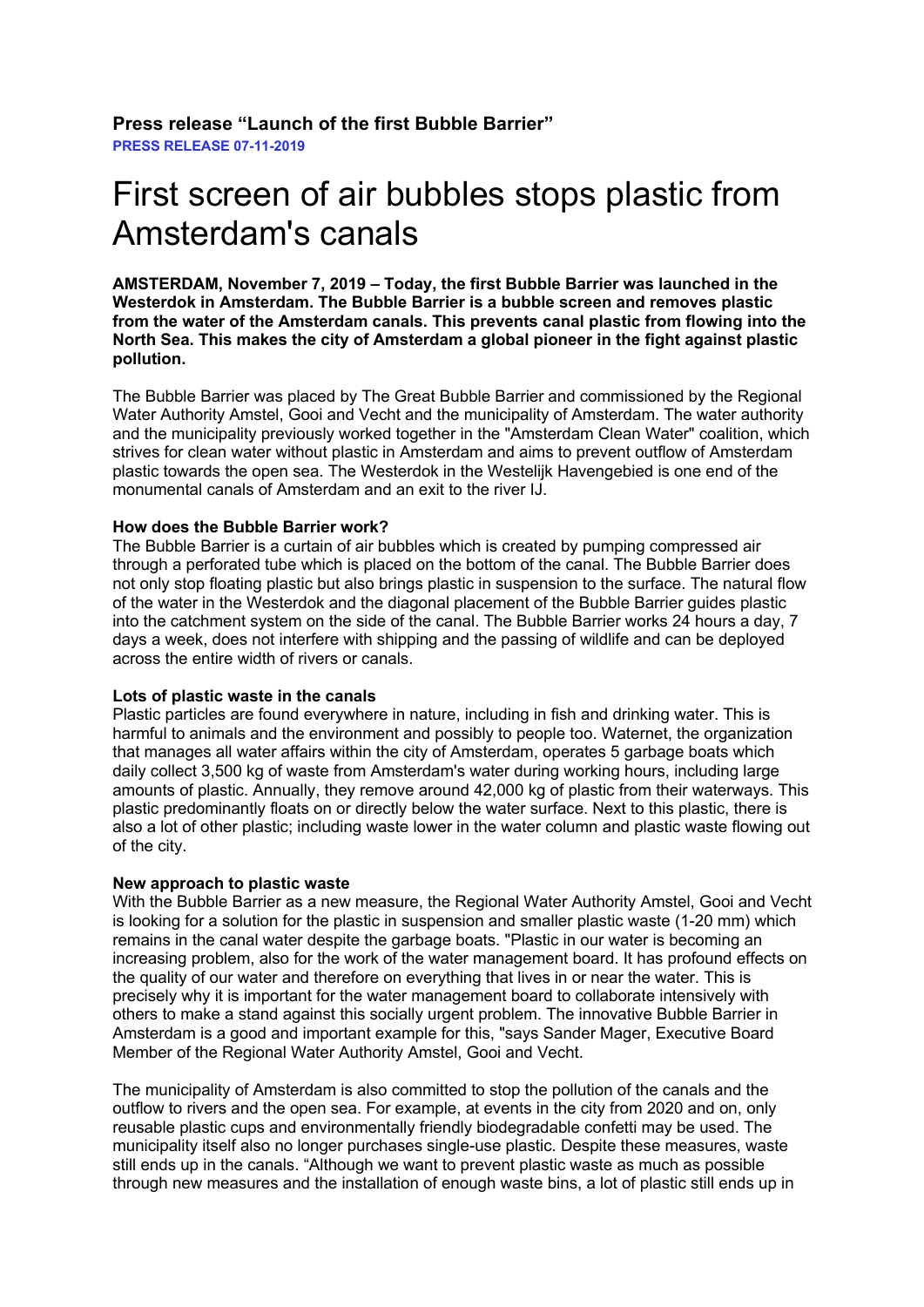**Press release "Launch of the first Bubble Barrier" PRESS RELEASE 07-11-2019**

# First screen of air bubbles stops plastic from Amsterdam's canals

**AMSTERDAM, November 7, 2019 – Today, the first Bubble Barrier was launched in the Westerdok in Amsterdam. The Bubble Barrier is a bubble screen and removes plastic from the water of the Amsterdam canals. This prevents canal plastic from flowing into the North Sea. This makes the city of Amsterdam a global pioneer in the fight against plastic pollution.**

The Bubble Barrier was placed by The Great Bubble Barrier and commissioned by the Regional Water Authority Amstel, Gooi and Vecht and the municipality of Amsterdam. The water authority and the municipality previously worked together in the "Amsterdam Clean Water" coalition, which strives for clean water without plastic in Amsterdam and aims to prevent outflow of Amsterdam plastic towards the open sea. The Westerdok in the Westelijk Havengebied is one end of the monumental canals of Amsterdam and an exit to the river IJ.

### **How does the Bubble Barrier work?**

The Bubble Barrier is a curtain of air bubbles which is created by pumping compressed air through a perforated tube which is placed on the bottom of the canal. The Bubble Barrier does not only stop floating plastic but also brings plastic in suspension to the surface. The natural flow of the water in the Westerdok and the diagonal placement of the Bubble Barrier guides plastic into the catchment system on the side of the canal. The Bubble Barrier works 24 hours a day, 7 days a week, does not interfere with shipping and the passing of wildlife and can be deployed across the entire width of rivers or canals.

#### **Lots of plastic waste in the canals**

Plastic particles are found everywhere in nature, including in fish and drinking water. This is harmful to animals and the environment and possibly to people too. Waternet, the organization that manages all water affairs within the city of Amsterdam, operates 5 garbage boats which daily collect 3,500 kg of waste from Amsterdam's water during working hours, including large amounts of plastic. Annually, they remove around 42,000 kg of plastic from their waterways. This plastic predominantly floats on or directly below the water surface. Next to this plastic, there is also a lot of other plastic; including waste lower in the water column and plastic waste flowing out of the city.

# **New approach to plastic waste**

With the Bubble Barrier as a new measure, the Regional Water Authority Amstel, Gooi and Vecht is looking for a solution for the plastic in suspension and smaller plastic waste (1-20 mm) which remains in the canal water despite the garbage boats. "Plastic in our water is becoming an increasing problem, also for the work of the water management board. It has profound effects on the quality of our water and therefore on everything that lives in or near the water. This is precisely why it is important for the water management board to collaborate intensively with others to make a stand against this socially urgent problem. The innovative Bubble Barrier in Amsterdam is a good and important example for this, "says Sander Mager, Executive Board Member of the Regional Water Authority Amstel, Gooi and Vecht.

The municipality of Amsterdam is also committed to stop the pollution of the canals and the outflow to rivers and the open sea. For example, at events in the city from 2020 and on, only reusable plastic cups and environmentally friendly biodegradable confetti may be used. The municipality itself also no longer purchases single-use plastic. Despite these measures, waste still ends up in the canals. "Although we want to prevent plastic waste as much as possible through new measures and the installation of enough waste bins, a lot of plastic still ends up in